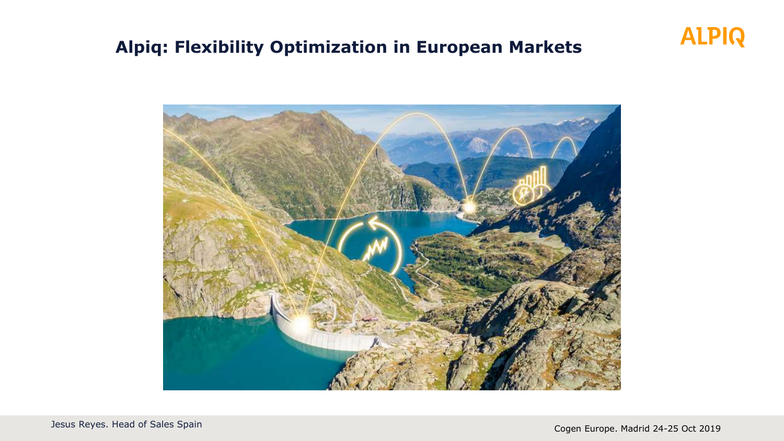### **Alpiq: Flexibility Optimization in European Markets**



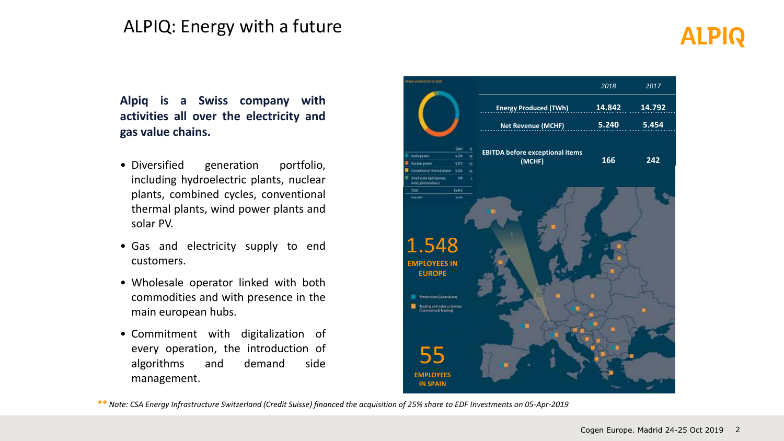### ALPIQ: Energy with a future

# **ALPIQ**

**Alpiq is a Swiss company with activities all over the electricity and gas value chains.**

- Diversified generation portfolio, including hydroelectric plants, nuclear plants, combined cycles, conventional thermal plants, wind power plants and solar PV.
- Gas and electricity supply to end customers.
- Wholesale operator linked with both commodities and with presence in the main european hubs.
- Commitment with digitalization of every operation, the introduction of algorithms and demand side management.



*\*\* Note: CSA Energy Infrastructure Switzerland (Credit Suisse) financed the acquisition of 25% share to EDF Investments on 05-Apr-2019*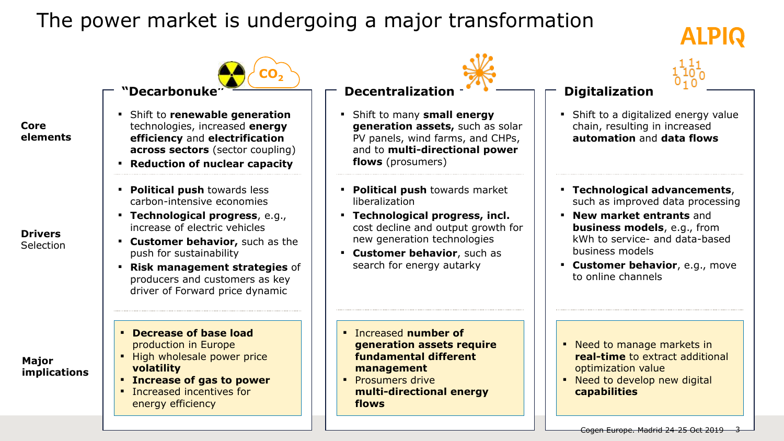### The power market is undergoing a major transformation

# ALPIQ



**•** Shift to a digitalized energy value chain, resulting in increased **automation** and **data flows** 

**Digitalization**

- **Technological advancements**, such as improved data processing
- **New market entrants** and **business models**, e.g., from kWh to service- and data-based business models
- **Customer behavior**, e.g., move to online channels

- Need to manage markets in **real-time** to extract additional optimization value
- **·** Need to develop new digital **capabilities**

**"Decarbonuke" CO<sup>2</sup>**

- Shift to **renewable generation**  technologies, increased **energy efficiency** and **electrification across sectors** (sector coupling)
- **Reduction of nuclear capacity**
- **Political push** towards less carbon-intensive economies
- **Technological progress**, e.g., increase of electric vehicles
- **Customer behavior,** such as the push for sustainability
- **Risk management strategies** of producers and customers as key driver of Forward price dynamic
- **Decrease of base load**  production in Europe
- **.** High wholesale power price **volatility**
- **Increase of gas to power**
- Increased incentives for energy efficiency

#### **Decentralization**

- Shift to many **small energy generation assets,** such as solar PV panels, wind farms, and CHPs, and to **multi-directional power flows** (prosumers)
- **Political push** towards market liberalization
- **Technological progress, incl.**  cost decline and output growth for new generation technologies
- **Customer behavior**, such as search for energy autarky

- Increased **number of generation assets require fundamental different management**
- **Prosumers drive multi-directional energy flows**

#### **Drivers** Selection

**Core** 

**elements**

#### **Major implications**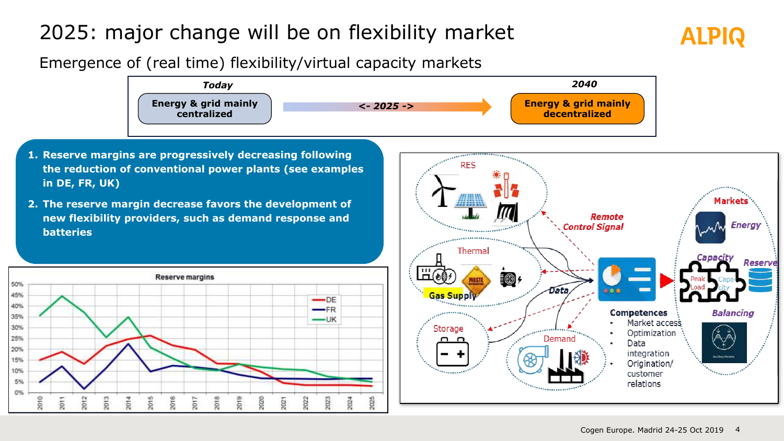# 2025: major change will be on flexibility market

### Emergence of (real time) flexibility/virtual capacity markets

50%

45%

40%

35%

30%

25%

20%

15%

10%

5%

0%

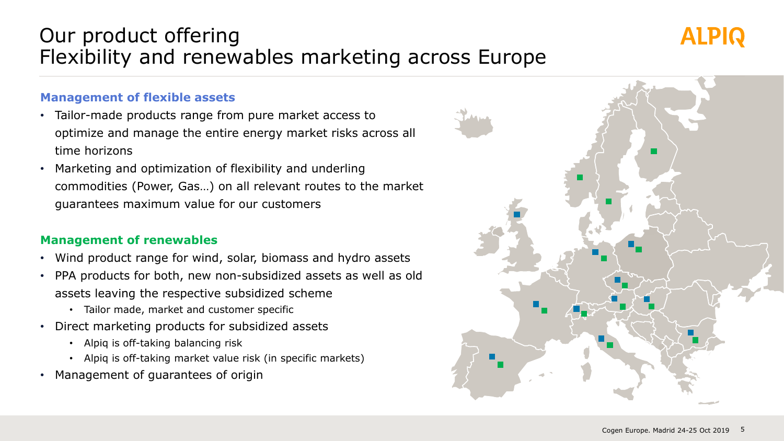### Our product offering Flexibility and renewables marketing across Europe

#### **Management of flexible assets**

- Tailor-made products range from pure market access to optimize and manage the entire energy market risks across all time horizons
- Marketing and optimization of flexibility and underling commodities (Power, Gas…) on all relevant routes to the market guarantees maximum value for our customers

#### **Management of renewables**

- Wind product range for wind, solar, biomass and hydro assets
- PPA products for both, new non-subsidized assets as well as old assets leaving the respective subsidized scheme
	- Tailor made, market and customer specific
- Direct marketing products for subsidized assets
	- Alpiq is off-taking balancing risk
	- Alpiq is off-taking market value risk (in specific markets)
- Management of guarantees of origin



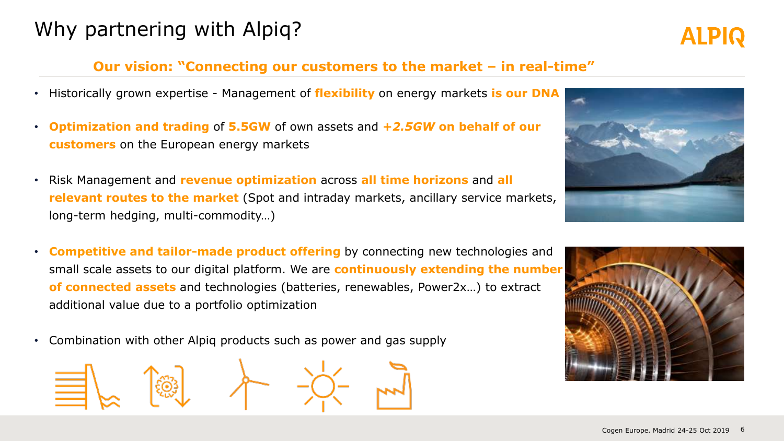### Why partnering with Alpiq?

#### **Our vision: "Connecting our customers to the market – in real-time"**

- Historically grown expertise Management of **flexibility** on energy markets **is our DNA**
- **Optimization and trading** of **5.5GW** of own assets and **+***2.5GW* **on behalf of our customers** on the European energy markets
- Risk Management and **revenue optimization** across **all time horizons** and **all relevant routes to the market** (Spot and intraday markets, ancillary service markets, long-term hedging, multi-commodity…)
- **Competitive and tailor-made product offering** by connecting new technologies and small scale assets to our digital platform. We are **continuously extending the number of connected assets** and technologies (batteries, renewables, Power2x…) to extract additional value due to a portfolio optimization
- Combination with other Alpiq products such as power and gas supply